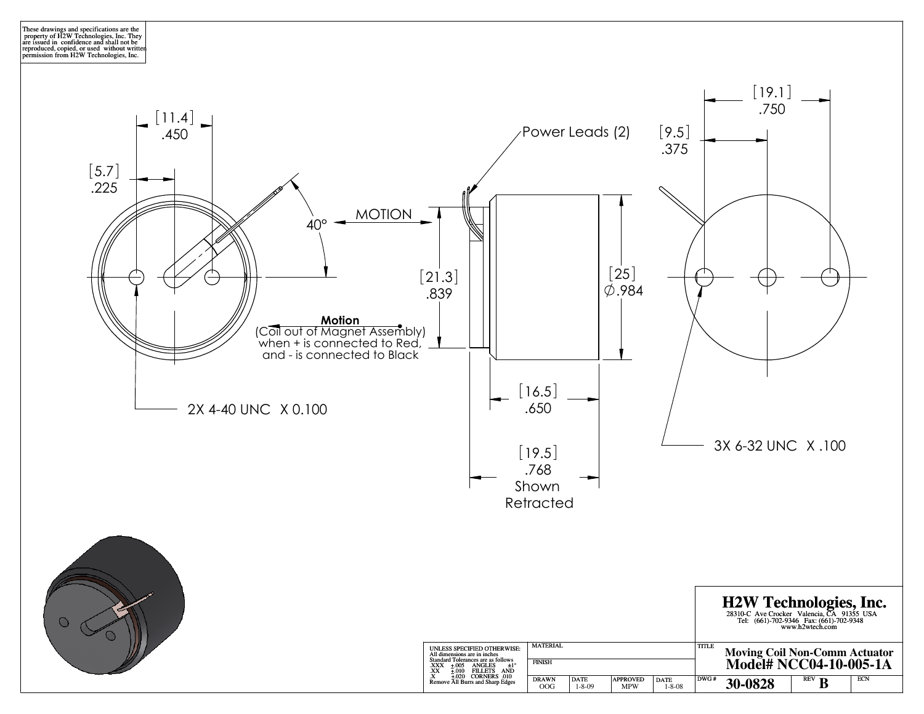